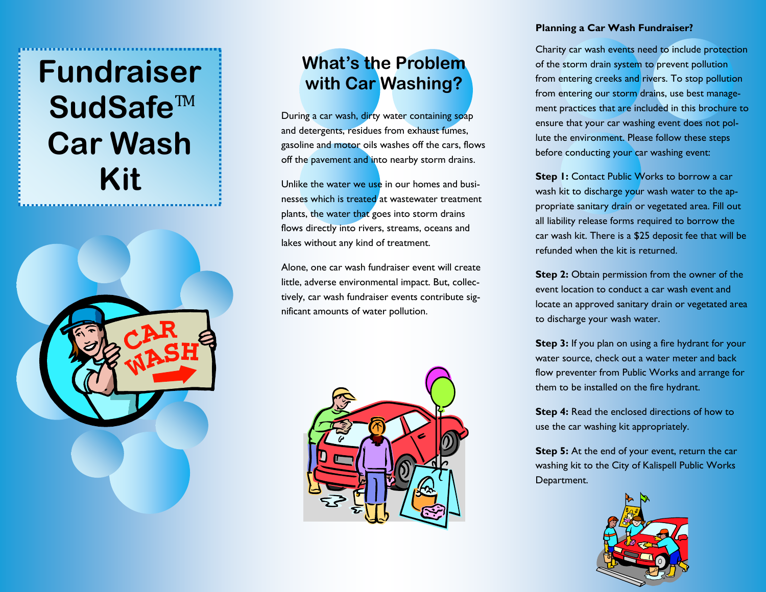# **Fundraiser**  SudSafe<sup>™</sup> **Car Wash Kit**



# **What's the Problem with Car Washing?**

During a car wash, dirty water containing soap and detergents, residues from exhaust fumes, gasoline and motor oils washes off the cars, flows off the pavement and into nearby storm drains.

Unlike the water we use in our homes and businesses which is treated at wastewater treatment plants, the water that goes into storm drains flows directly into rivers, streams, oceans and lakes without any kind of treatment.

Alone, one car wash fundraiser event will create little, adverse environmental impact. But, collectively, car wash fundraiser events contribute significant amounts of water pollution.



#### **Planning a Car Wash Fundraiser?**

Charity car wash events need to include protection of the storm drain system to prevent pollution from entering creeks and rivers. To stop pollution from entering our storm drains, use best management practices that are included in this brochure to ensure that your car washing event does not pollute the environment. Please follow these steps before conducting your car washing event:

**Step 1:** Contact Public Works to borrow a car wash kit to discharge your wash water to the appropriate sanitary drain or vegetated area. Fill out all liability release forms required to borrow the car wash kit. There is a \$25 deposit fee that will be refunded when the kit is returned.

**Step 2:** Obtain permission from the owner of the event location to conduct a car wash event and locate an approved sanitary drain or vegetated area to discharge your wash water.

**Step 3:** If you plan on using a fire hydrant for your water source, check out a water meter and back flow preventer from Public Works and arrange for them to be installed on the fire hydrant.

**Step 4:** Read the enclosed directions of how to use the car washing kit appropriately.

**Step 5:** At the end of your event, return the car washing kit to the City of Kalispell Public Works Department.